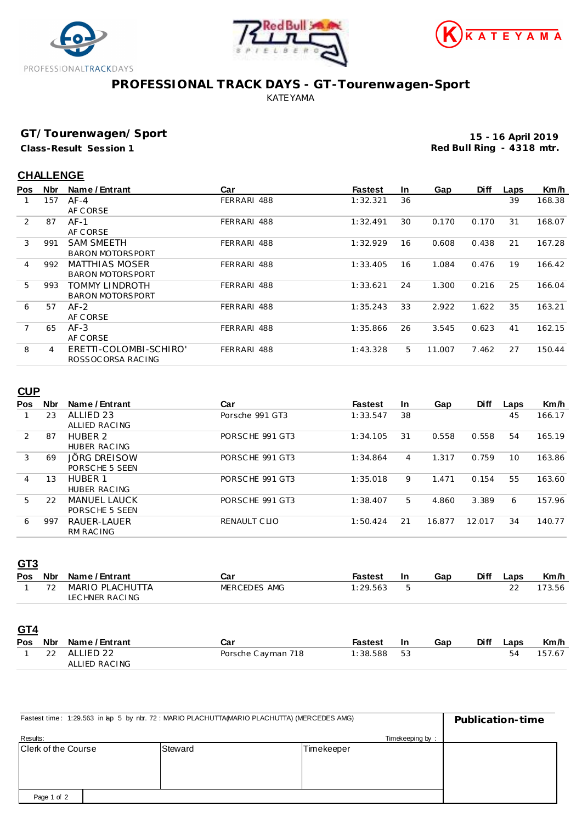





### **PROFESSIONAL TRACK DAYS - GT-Tourenwagen-Sport** KATEYAMA

## **GT/Tourenwagen/Sport**

**Class-Result Session 1**

**15 - 16 April 2019 Red Bull Ring - 4318 mtr.**

### **CHALLENGE**

| <b>Nbr</b> | Name / Entrant          | Car         | <b>Fastest</b> | In. | Gap    | <b>Diff</b> | Laps | Km/h   |
|------------|-------------------------|-------------|----------------|-----|--------|-------------|------|--------|
| 157        | $AF-4$                  | FERRARI 488 | 1:32.321       | 36  |        |             | 39   | 168.38 |
|            | AF CORSE                |             |                |     |        |             |      |        |
| 87         | $AF-1$                  | FERRARI 488 | 1:32.491       | 30  | 0.170  | 0.170       | 31   | 168.07 |
|            | AF CORSE                |             |                |     |        |             |      |        |
| 991        | <b>SAM SMEETH</b>       | FERRARI 488 | 1:32.929       | 16  | 0.608  | 0.438       | 21   | 167.28 |
|            | <b>BARON MOTORSPORT</b> |             |                |     |        |             |      |        |
| 992        | <b>MATTHIAS MOSER</b>   | FERRARI 488 | 1:33.405       | 16  | 1.084  | 0.476       | 19   | 166.42 |
|            | <b>BARON MOTORSPORT</b> |             |                |     |        |             |      |        |
| 993        | <b>TOMMY LINDROTH</b>   | FERRARI 488 | 1:33.621       | 24  | 1.300  | 0.216       | 25   | 166.04 |
|            | <b>BARON MOTORSPORT</b> |             |                |     |        |             |      |        |
| 57         | $AF-2$                  | FERRARI 488 | 1:35.243       | 33  | 2.922  | 1.622       | 35   | 163.21 |
|            | AF CORSE                |             |                |     |        |             |      |        |
| 65         | $AF-3$                  | FERRARI 488 | 1:35.866       | 26  | 3.545  | 0.623       | 41   | 162.15 |
|            | AF CORSE                |             |                |     |        |             |      |        |
| 4          | ERETTI-COLOMBI-SCHIRO'  | FERRARI 488 | 1:43.328       | 5   | 11.007 | 7.462       | 27   | 150.44 |
|            | ROSSOC ORSA RACING      |             |                |     |        |             |      |        |
|            |                         |             |                |     |        |             |      |        |

# **CUP**

| <b>Pos</b> | <b>Nbr</b> | Name / Entrant     | Car             | <b>Fastest</b> | <u>In</u> | Gap    | <b>Diff</b> | Laps | Km/h   |
|------------|------------|--------------------|-----------------|----------------|-----------|--------|-------------|------|--------|
|            | 23         | ALLIED 23          | Porsche 991 GT3 | 1:33.547       | 38        |        |             | 45   | 166.17 |
|            |            | ALLIED RACING      |                 |                |           |        |             |      |        |
|            | 87         | HUBFR <sub>2</sub> | PORSCHE 991 GT3 | 1:34.105       | 31        | 0.558  | 0.558       | 54   | 165.19 |
|            |            | HUBER RACING       |                 |                |           |        |             |      |        |
| 3          | 69         | JÖRG DREISOW       | PORSCHE 991 GT3 | 1:34.864       | 4         | 1.317  | 0.759       | 10   | 163.86 |
|            |            | PORSCHE 5 SEEN     |                 |                |           |        |             |      |        |
| 4          | 13         | HUBER 1            | PORSCHE 991 GT3 | 1:35.018       | 9         | 1.471  | 0.154       | 55   | 163.60 |
|            |            | HUBER RACING       |                 |                |           |        |             |      |        |
| 5.         | 22         | MANUEL LAUCK       | PORSCHE 991 GT3 | 1:38.407       | 5.        | 4.860  | 3.389       | 6    | 157.96 |
|            |            | PORSCHE 5 SEEN     |                 |                |           |        |             |      |        |
| 6          | 997        | RAUER-LAUER        | RENAULT CLIO    | 1:50.424       | 21        | 16.877 | 12.017      | 34   | 140.77 |
|            |            | RM RAC ING         |                 |                |           |        |             |      |        |

#### **GT3**

|  | Pos Nbr Name/Entrant | Car          | Fastest  | 1n | Gap | Diff | Laps   | Km/h   |
|--|----------------------|--------------|----------|----|-----|------|--------|--------|
|  | MARIO PLACHUTTA      | MERCEDES AMG | 1:29.563 |    |     |      | $\sim$ | 173.56 |
|  | LECHNER RACING       |              |          |    |     |      |        |        |

**GT4**

| ____ |                      |                    |             |     |     |             |      |        |
|------|----------------------|--------------------|-------------|-----|-----|-------------|------|--------|
|      | Pos Nbr Name/Entrant | Car                | Fastest     | -In | Gap | <b>Diff</b> | Laps | Km/h   |
|      | 22 ALLIED 22         | Porsche Cayman 718 | 1:38.588 53 |     |     |             | 54   | 157.67 |
|      | ALLIED RACING        |                    |             |     |     |             |      |        |

| Fastest time: 1:29.563 in lap 5 by nbr. 72: MARIO PLACHUTTA(MARIO PLACHUTTA) (MERCEDES AMG) | Publication-time |            |  |
|---------------------------------------------------------------------------------------------|------------------|------------|--|
| Results:                                                                                    |                  |            |  |
| <b>Clerk of the Course</b>                                                                  | Steward          | Timekeeper |  |
|                                                                                             |                  |            |  |
|                                                                                             |                  |            |  |
|                                                                                             |                  |            |  |
| Page 1 of 2                                                                                 |                  |            |  |